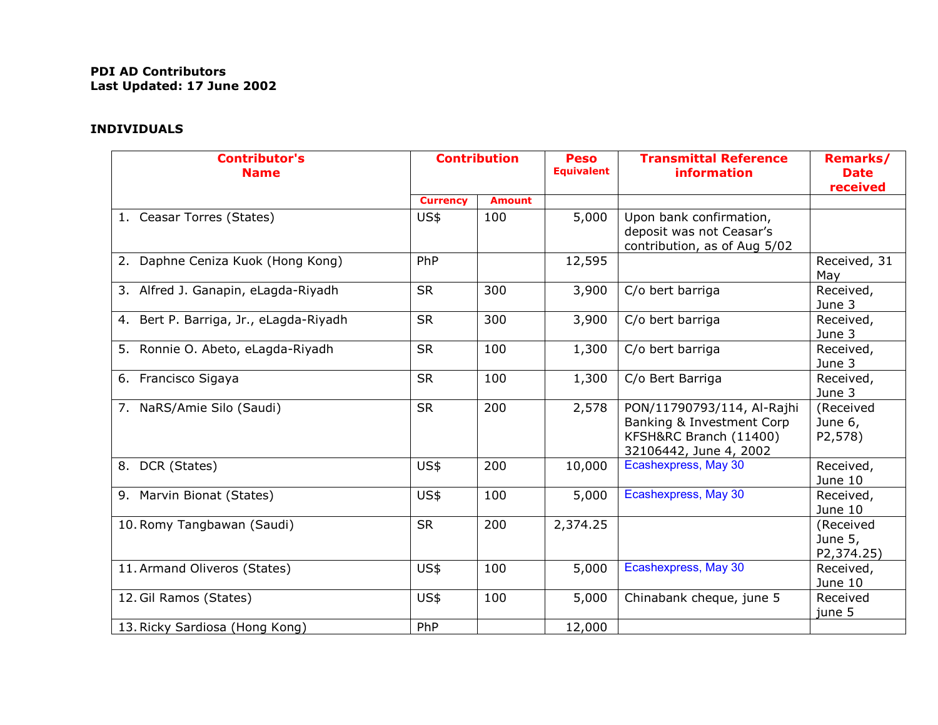## **PDI AD Contributors Last Updated: 17 June 2002**

## **INDIVIDUALS**

| <b>Contributor's</b><br><b>Name</b>    | <b>Contribution</b> |               | <b>Peso</b><br><b>Equivalent</b> | <b>Transmittal Reference</b><br>information                                                                 | <b>Remarks/</b><br><b>Date</b><br>received |
|----------------------------------------|---------------------|---------------|----------------------------------|-------------------------------------------------------------------------------------------------------------|--------------------------------------------|
|                                        | <b>Currency</b>     | <b>Amount</b> |                                  |                                                                                                             |                                            |
| 1. Ceasar Torres (States)              | US\$                | 100           | 5,000                            | Upon bank confirmation,<br>deposit was not Ceasar's<br>contribution, as of Aug 5/02                         |                                            |
| 2. Daphne Ceniza Kuok (Hong Kong)      | PhP                 |               | 12,595                           |                                                                                                             | Received, 31<br>May                        |
| 3. Alfred J. Ganapin, eLagda-Riyadh    | <b>SR</b>           | 300           | 3,900                            | C/o bert barriga                                                                                            | Received,<br>June 3                        |
| 4. Bert P. Barriga, Jr., eLagda-Riyadh | <b>SR</b>           | 300           | 3,900                            | C/o bert barriga                                                                                            | Received,<br>June 3                        |
| 5. Ronnie O. Abeto, eLagda-Riyadh      | <b>SR</b>           | 100           | 1,300                            | C/o bert barriga                                                                                            | Received,<br>June 3                        |
| 6. Francisco Sigaya                    | <b>SR</b>           | 100           | 1,300                            | C/o Bert Barriga                                                                                            | Received,<br>June 3                        |
| 7. NaRS/Amie Silo (Saudi)              | <b>SR</b>           | 200           | 2,578                            | PON/11790793/114, Al-Rajhi<br>Banking & Investment Corp<br>KFSH&RC Branch (11400)<br>32106442, June 4, 2002 | (Received<br>June 6,<br>P2,578)            |
| 8. DCR (States)                        | US\$                | 200           | 10,000                           | Ecashexpress, May 30                                                                                        | Received,<br>June 10                       |
| 9. Marvin Bionat (States)              | US\$                | 100           | 5,000                            | Ecashexpress, May 30                                                                                        | Received,<br>June 10                       |
| 10. Romy Tangbawan (Saudi)             | <b>SR</b>           | 200           | 2,374.25                         |                                                                                                             | (Received<br>June 5,<br>P2,374.25)         |
| 11. Armand Oliveros (States)           | US\$                | 100           | 5,000                            | Ecashexpress, May 30                                                                                        | Received,<br>June 10                       |
| 12. Gil Ramos (States)                 | US\$                | 100           | 5,000                            | Chinabank cheque, june 5                                                                                    | Received<br>june 5                         |
| 13. Ricky Sardiosa (Hong Kong)         | PhP                 |               | 12,000                           |                                                                                                             |                                            |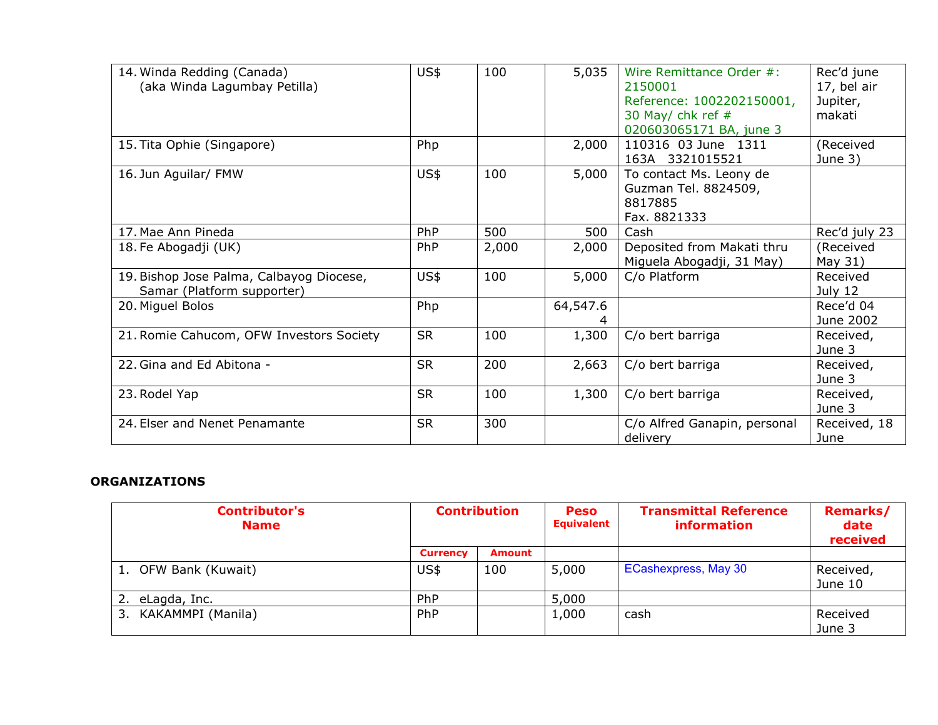| 14. Winda Redding (Canada)<br>(aka Winda Lagumbay Petilla)             | US\$      | 100   | 5,035    | Wire Remittance Order #:<br>2150001<br>Reference: 1002202150001,<br>30 May/ chk ref $#$<br>020603065171 BA, june 3 | Rec'd june<br>17, bel air<br>Jupiter,<br>makati |
|------------------------------------------------------------------------|-----------|-------|----------|--------------------------------------------------------------------------------------------------------------------|-------------------------------------------------|
| 15. Tita Ophie (Singapore)                                             | Php       |       | 2,000    | 110316 03 June 1311<br>163A 3321015521                                                                             | (Received<br>June 3)                            |
| 16. Jun Aguilar/ FMW                                                   | US\$      | 100   | 5,000    | To contact Ms. Leony de<br>Guzman Tel. 8824509,<br>8817885<br>Fax. 8821333                                         |                                                 |
| 17. Mae Ann Pineda                                                     | PhP       | 500   | 500      | Cash                                                                                                               | Rec'd july 23                                   |
| 18. Fe Abogadji (UK)                                                   | PhP       | 2,000 | 2,000    | Deposited from Makati thru<br>Miguela Abogadji, 31 May)                                                            | (Received<br>May 31)                            |
| 19. Bishop Jose Palma, Calbayog Diocese,<br>Samar (Platform supporter) | US\$      | 100   | 5,000    | C/o Platform                                                                                                       | Received<br>July 12                             |
| 20. Miguel Bolos                                                       | Php       |       | 64,547.6 |                                                                                                                    | Rece'd 04<br>June 2002                          |
| 21. Romie Cahucom, OFW Investors Society                               | <b>SR</b> | 100   | 1,300    | C/o bert barriga                                                                                                   | Received,<br>June 3                             |
| 22. Gina and Ed Abitona -                                              | <b>SR</b> | 200   | 2,663    | C/o bert barriga                                                                                                   | Received,<br>June 3                             |
| 23. Rodel Yap                                                          | <b>SR</b> | 100   | 1,300    | C/o bert barriga                                                                                                   | Received,<br>June 3                             |
| 24. Elser and Nenet Penamante                                          | <b>SR</b> | 300   |          | C/o Alfred Ganapin, personal<br>delivery                                                                           | Received, 18<br>June                            |

## **ORGANIZATIONS**

| <b>Contributor's</b><br><b>Name</b> | <b>Contribution</b> |               | <b>Peso</b><br><b>Equivalent</b> | <b>Transmittal Reference</b><br><b>information</b> | <b>Remarks/</b><br>date<br>received |
|-------------------------------------|---------------------|---------------|----------------------------------|----------------------------------------------------|-------------------------------------|
|                                     | <b>Currency</b>     | <b>Amount</b> |                                  |                                                    |                                     |
| 1. OFW Bank (Kuwait)                | US\$                | 100           | 5,000                            | ECashexpress, May 30                               | Received,<br>June 10                |
| eLagda, Inc.                        | PhP                 |               | 5,000                            |                                                    |                                     |
| KAKAMMPI (Manila)<br>3.             | <b>PhP</b>          |               | 1,000                            | cash                                               | Received<br>June 3                  |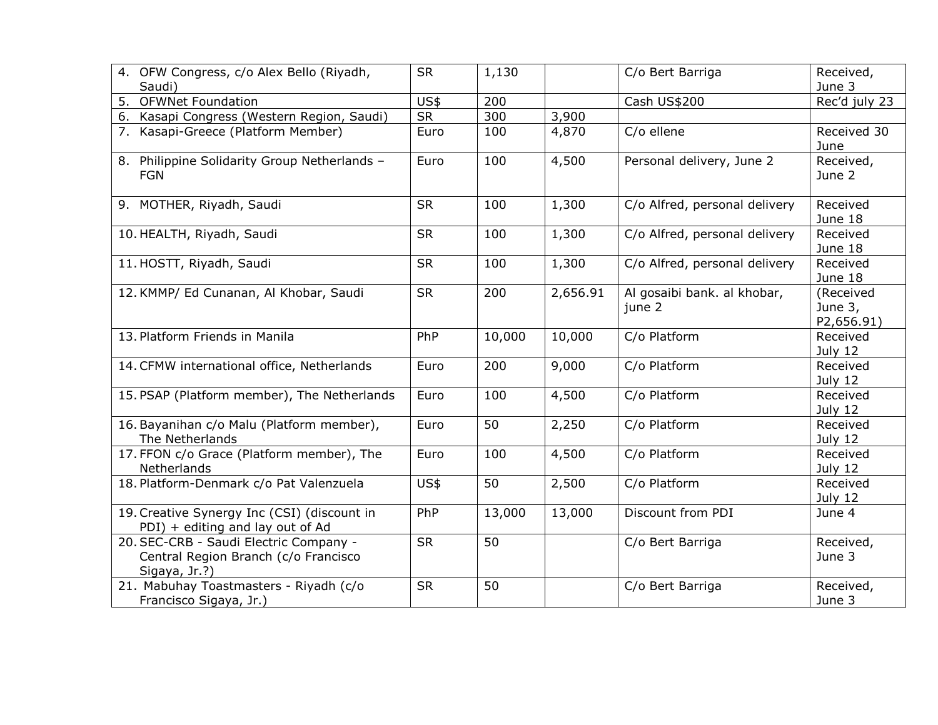| 4. OFW Congress, c/o Alex Bello (Riyadh,                                                        | <b>SR</b> | 1,130  |          | C/o Bert Barriga                      | Received,                          |
|-------------------------------------------------------------------------------------------------|-----------|--------|----------|---------------------------------------|------------------------------------|
| Saudi)                                                                                          |           |        |          |                                       | June 3                             |
| <b>OFWNet Foundation</b><br>5.                                                                  | US\$      | 200    |          | Cash US\$200                          | Rec'd july 23                      |
| Kasapi Congress (Western Region, Saudi)<br>6.                                                   | <b>SR</b> | 300    | 3,900    |                                       |                                    |
| 7. Kasapi-Greece (Platform Member)                                                              | Euro      | 100    | 4,870    | C/o ellene                            | Received 30<br>June                |
| 8. Philippine Solidarity Group Netherlands -<br><b>FGN</b>                                      | Euro      | 100    | 4,500    | Personal delivery, June 2             | Received,<br>June 2                |
| 9. MOTHER, Riyadh, Saudi                                                                        | <b>SR</b> | 100    | 1,300    | C/o Alfred, personal delivery         | Received<br>June 18                |
| 10. HEALTH, Riyadh, Saudi                                                                       | <b>SR</b> | 100    | 1,300    | C/o Alfred, personal delivery         | Received<br>June 18                |
| 11. HOSTT, Riyadh, Saudi                                                                        | <b>SR</b> | 100    | 1,300    | C/o Alfred, personal delivery         | Received<br>June 18                |
| 12. KMMP/ Ed Cunanan, Al Khobar, Saudi                                                          | <b>SR</b> | 200    | 2,656.91 | Al gosaibi bank. al khobar,<br>june 2 | (Received<br>June 3,<br>P2,656.91) |
| 13. Platform Friends in Manila                                                                  | PhP       | 10,000 | 10,000   | C/o Platform                          | Received<br>July 12                |
| 14. CFMW international office, Netherlands                                                      | Euro      | 200    | 9,000    | C/o Platform                          | Received<br>July 12                |
| 15. PSAP (Platform member), The Netherlands                                                     | Euro      | 100    | 4,500    | C/o Platform                          | Received<br>July 12                |
| 16. Bayanihan c/o Malu (Platform member),<br>The Netherlands                                    | Euro      | 50     | 2,250    | C/o Platform                          | Received<br>July 12                |
| 17. FFON c/o Grace (Platform member), The<br>Netherlands                                        | Euro      | 100    | 4,500    | C/o Platform                          | Received<br>July 12                |
| 18. Platform-Denmark c/o Pat Valenzuela                                                         | US\$      | 50     | 2,500    | C/o Platform                          | Received<br>July 12                |
| 19. Creative Synergy Inc (CSI) (discount in<br>PDI) + editing and lay out of Ad                 | PhP       | 13,000 | 13,000   | Discount from PDI                     | June 4                             |
| 20. SEC-CRB - Saudi Electric Company -<br>Central Region Branch (c/o Francisco<br>Sigaya, Jr.?) | <b>SR</b> | 50     |          | C/o Bert Barriga                      | Received,<br>June 3                |
| 21. Mabuhay Toastmasters - Riyadh (c/o<br>Francisco Sigaya, Jr.)                                | <b>SR</b> | 50     |          | C/o Bert Barriga                      | Received,<br>June 3                |